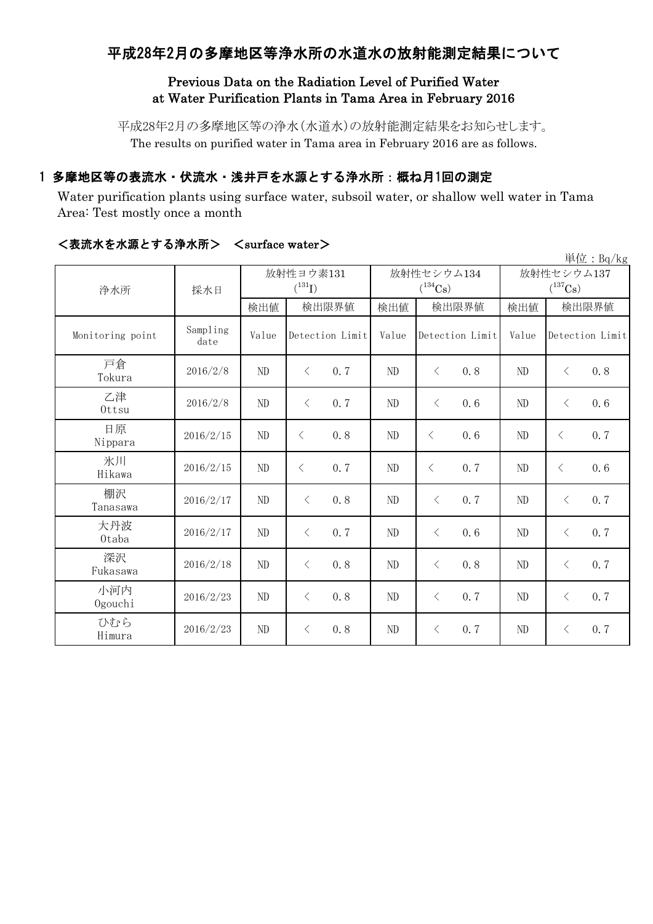# 平成28年2月の多摩地区等浄水所の水道水の放射能測定結果について

### Previous Data on the Radiation Level of Purified Water at Water Purification Plants in Tama Area in February 2016

平成28年2月の多摩地区等の浄水(水道水)の放射能測定結果をお知らせします。 The results on purified water in Tama area in February 2016 are as follows.

## 1 多摩地区等の表流水・伏流水・浅井戸を水源とする浄水所:概ね月1回の測定

Water purification plants using surface water, subsoil water, or shallow well water in Tama Area: Test mostly once a month

|                  |                  |          |                          |       |       |                            |      |                            |           | 単位: Bq/kg       |
|------------------|------------------|----------|--------------------------|-------|-------|----------------------------|------|----------------------------|-----------|-----------------|
| 浄水所              | 採水日              |          | 放射性ヨウ素131<br>$(^{131}I)$ |       |       | 放射性セシウム134<br>$(^{134}Cs)$ |      | 放射性セシウム137<br>$(^{137}Cs)$ |           |                 |
|                  |                  | 検出値      |                          | 検出限界値 | 検出値   | 検出限界値                      |      | 検出値                        | 検出限界値     |                 |
| Monitoring point | Sampling<br>date | Value    | Detection Limit          |       | Value | Detection Limit            |      | Value                      |           | Detection Limit |
| 戸倉<br>Tokura     | 2016/2/8         | ND       | $\langle$                | 0.7   | ND    | $\langle$                  | 0, 8 | N <sub>D</sub>             | $\lt$     | 0.8             |
| 乙津<br>Ottsu      | 2016/2/8         | ND       | $\lt$                    | 0.7   | ND    | $\langle$                  | 0.6  | ND                         | $\langle$ | 0.6             |
| 日原<br>Nippara    | 2016/2/15        | ND       | $\langle$                | 0.8   | ND    | $\langle$                  | 0.6  | ND                         | $\lt$     | 0.7             |
| 氷川<br>Hikawa     | 2016/2/15        | $\rm ND$ | $\langle$                | 0.7   | ND    | $\langle$                  | 0.7  | N <sub>D</sub>             | $\lt$     | 0.6             |
| 棚沢<br>Tanasawa   | 2016/2/17        | ND       | $\lt$                    | 0.8   | ND    | $\lt$                      | 0.7  | ND                         | $\langle$ | 0.7             |
| 大丹波<br>0taba     | 2016/2/17        | ND       | $\lt$                    | 0.7   | ND    | $\langle$                  | 0.6  | ND                         | $\lt$     | 0.7             |
| 深沢<br>Fukasawa   | 2016/2/18        | ND       | $\lt$                    | 0.8   | ND    | $\langle$                  | 0.8  | ND                         | $\lt$     | 0.7             |
| 小河内<br>Ogouchi   | 2016/2/23        | ND       | $\lt$                    | 0.8   | ND    | $\lt$                      | 0.7  | ND                         | $\lt$     | 0.7             |
| ひむら<br>Himura    | 2016/2/23        | ND       | $\lt$                    | 0.8   | ND    | $\lt$                      | 0.7  | ND                         | $\lt$     | 0.7             |

#### <表流水を水源とする浄水所> <surface water>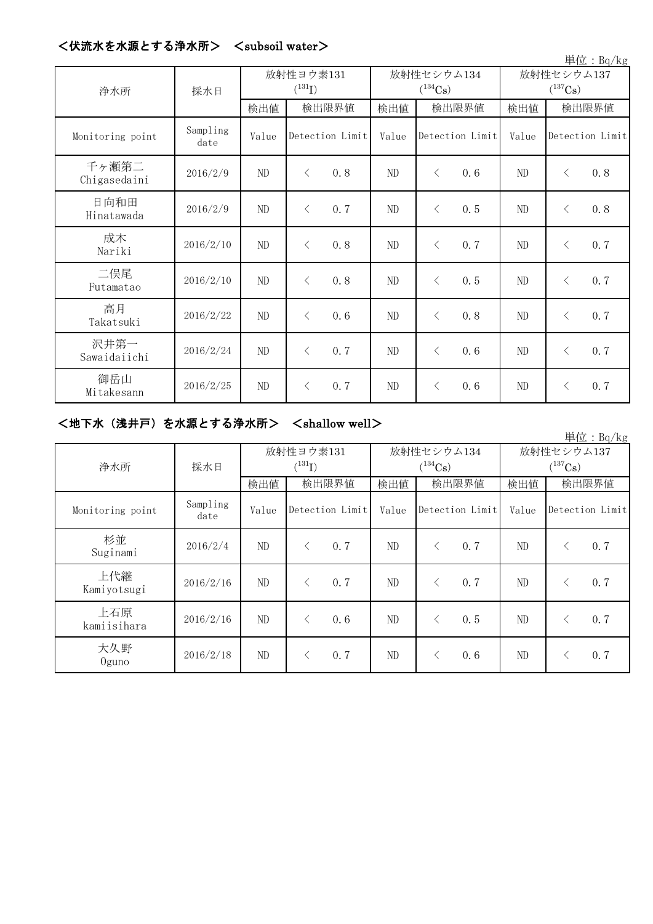| <伏流水を水源とする浄水所> | $\langle$ subsoil water $\rangle$ |
|----------------|-----------------------------------|
|----------------|-----------------------------------|

| 単位: Bq/kg             |                  |                          |                 |     |                            |                 |     |                                     |                 |     |  |
|-----------------------|------------------|--------------------------|-----------------|-----|----------------------------|-----------------|-----|-------------------------------------|-----------------|-----|--|
| 浄水所                   | 採水日              | 放射性ヨウ素131<br>$(^{131}I)$ |                 |     | 放射性セシウム134<br>$(^{134}Cs)$ |                 |     | 放射性セシウム137<br>$(^{137}\mathrm{Cs})$ |                 |     |  |
|                       |                  | 検出値                      | 検出限界値           |     | 検出値                        | 検出限界値           |     | 検出値                                 | 検出限界値           |     |  |
| Monitoring point      | Sampling<br>date | Value                    | Detection Limit |     | Value                      | Detection Limit |     | Value                               | Detection Limit |     |  |
| 千ヶ瀬第二<br>Chigasedaini | 2016/2/9         | ND                       | $\lt$           | 0.8 | ND                         | $\langle$       | 0.6 | ND                                  | $\lt$           | 0.8 |  |
| 日向和田<br>Hinatawada    | 2016/2/9         | $\rm ND$                 | $\lt$           | 0.7 | $\rm ND$                   | $\lt$           | 0.5 | ND                                  | $\langle$       | 0.8 |  |
| 成木<br>Nariki          | 2016/2/10        | ND                       | $\lt$           | 0.8 | ND                         | $\lt$           | 0.7 | ND                                  | $\langle$       | 0.7 |  |
| 二俣尾<br>Futamatao      | 2016/2/10        | ND                       | $\lt$           | 0.8 | ND                         | $\langle$       | 0.5 | ND                                  | $\lt$           | 0.7 |  |
| 高月<br>Takatsuki       | 2016/2/22        | ND                       | $\lt$           | 0.6 | ND                         | $\lt$           | 0.8 | ND                                  | $\lt$           | 0.7 |  |
| 沢井第一<br>Sawaidaiichi  | 2016/2/24        | ND                       | $\lt$           | 0.7 | ND                         | $\langle$       | 0.6 | ND                                  | $\lt$           | 0.7 |  |
| 御岳山<br>Mitakesann     | 2016/2/25        | $\rm ND$                 | $\lt$           | 0.7 | ND                         | $\lt$           | 0.6 | ND                                  | $\langle$       | 0.7 |  |

# <地下水(浅井戸)を水源とする浄水所> <shallow well>

|                    |                  |       |                          |       |                            |                                     | 単位: $Bq/kg$       |  |
|--------------------|------------------|-------|--------------------------|-------|----------------------------|-------------------------------------|-------------------|--|
| 浄水所                | 採水日              |       | 放射性ヨウ素131<br>$(^{131}I)$ |       | 放射性セシウム134<br>$(^{134}Cs)$ | 放射性セシウム137<br>$(^{137}\mathrm{Cs})$ |                   |  |
|                    |                  | 検出値   | 検出限界値                    | 検出値   | 検出限界値                      | 検出値                                 | 検出限界値             |  |
| Monitoring point   | Sampling<br>date | Value | Detection Limit          | Value | Detection Limit            | Value                               | Detection Limit   |  |
| 杉並<br>Suginami     | 2016/2/4         | ND    | 0.7<br>く                 | ND    | 0.7                        | ND                                  | 0.7<br>⟨          |  |
| 上代継<br>Kamiyotsugi | 2016/2/16        | ND    | 0.7                      | ND    | 0, 7                       | ND                                  | 0, 7<br>$\langle$ |  |
| 上石原<br>kamiisihara | 2016/2/16        | ND    | 0.6                      | ND    | 0.5                        | ND                                  | 0, 7<br>$\langle$ |  |
| 大久野<br>$0$ guno    | 2016/2/18        | ND    | 0.7                      | ND    | 0.6                        | ND                                  | 0.7               |  |